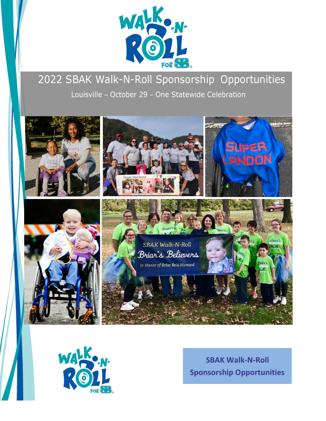

## 2022 SBAK Walk-N-Roll Sponsorship Opportunities Louisville – October 29 – One Statewide Celebration





**SBAK Walk-N-Roll Sponsorship Opportunities**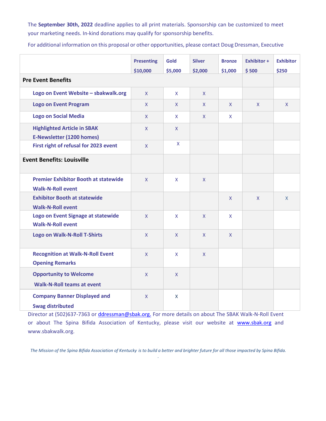The **September 30th, 2022** deadline applies to all print materials. Sponsorship can be customized to meet your marketing needs. In-kind donations may qualify for sponsorship benefits.

For additional information on this proposal or other opportunities, please contact Doug Dressman, Executive

|                                                                         | <b>Presenting</b><br>\$10,000 | <b>Gold</b><br>\$5,000 | <b>Silver</b><br>\$2,000 | <b>Bronze</b><br>\$1,000 | <b>Exhibitor +</b><br>\$500 | <b>Exhibitor</b><br>\$250 |
|-------------------------------------------------------------------------|-------------------------------|------------------------|--------------------------|--------------------------|-----------------------------|---------------------------|
| <b>Pre Event Benefits</b>                                               |                               |                        |                          |                          |                             |                           |
| Logo on Event Website - sbakwalk.org                                    | $\mathsf{X}$                  | $\mathsf{X}$           | $\mathsf{X}$             |                          |                             |                           |
| <b>Logo on Event Program</b>                                            | $\mathsf{X}$                  | $\mathsf{X}$           | $\mathsf{X}$             | $\mathsf{X}$             | $\mathsf{X}$                | $\mathsf{X}$              |
| <b>Logo on Social Media</b>                                             | $\mathsf{X}$                  | $\mathsf{X}$           | $\mathsf{X}$             | $\mathsf{X}$             |                             |                           |
| <b>Highlighted Article in SBAK</b><br><b>E-Newsletter (1200 homes)</b>  | $\mathsf{X}$                  | $\mathsf{X}$           |                          |                          |                             |                           |
| First right of refusal for 2023 event                                   | $\mathsf{X}$                  | $\mathsf X$            |                          |                          |                             |                           |
| <b>Event Benefits: Louisville</b>                                       |                               |                        |                          |                          |                             |                           |
| <b>Premier Exhibitor Booth at statewide</b><br><b>Walk-N-Roll event</b> | $\mathsf{X}$                  | $\mathsf{X}$           | $\mathsf{X}$             |                          |                             |                           |
| <b>Exhibitor Booth at statewide</b><br><b>Walk-N-Roll event</b>         |                               |                        |                          | $\mathsf X$              | $\mathsf{X}$                | $\mathsf{X}$              |
| Logo on Event Signage at statewide<br><b>Walk-N-Roll event</b>          | $\mathsf{X}$                  | $\mathsf{X}$           | $\mathsf{X}$             | X                        |                             |                           |
| <b>Logo on Walk-N-Roll T-Shirts</b>                                     | $\mathsf{X}$                  | $\mathsf{X}$           | $\mathsf{X}$             | $\mathsf{X}$             |                             |                           |
| <b>Recognition at Walk-N-Roll Event</b><br><b>Opening Remarks</b>       | $\mathsf{X}$                  | $\mathsf{X}$           | $\mathsf{X}$             |                          |                             |                           |
| <b>Opportunity to Welcome</b><br><b>Walk-N-Roll teams at event</b>      | $\mathsf{X}$                  | X                      |                          |                          |                             |                           |
| <b>Company Banner Displayed and</b><br><b>Swag distributed</b>          | $\mathsf{X}$                  | $\mathsf{X}$           |                          |                          |                             |                           |

Director at (502)637-7363 or *ddressman@sbak.org.* For more details on about The SBAK Walk-N-Roll Event or about The Spina Bifida Association of Kentucky, please visit our website at [www.sbak.org](http://www.sbak.org/) and [www.sbakwalk.org.](http://www.sbakwalk.org/)

*The Mission of the Spina Bifida Association of Kentucky is to build a better and brighter future for all those impacted by Spina Bifida. .*